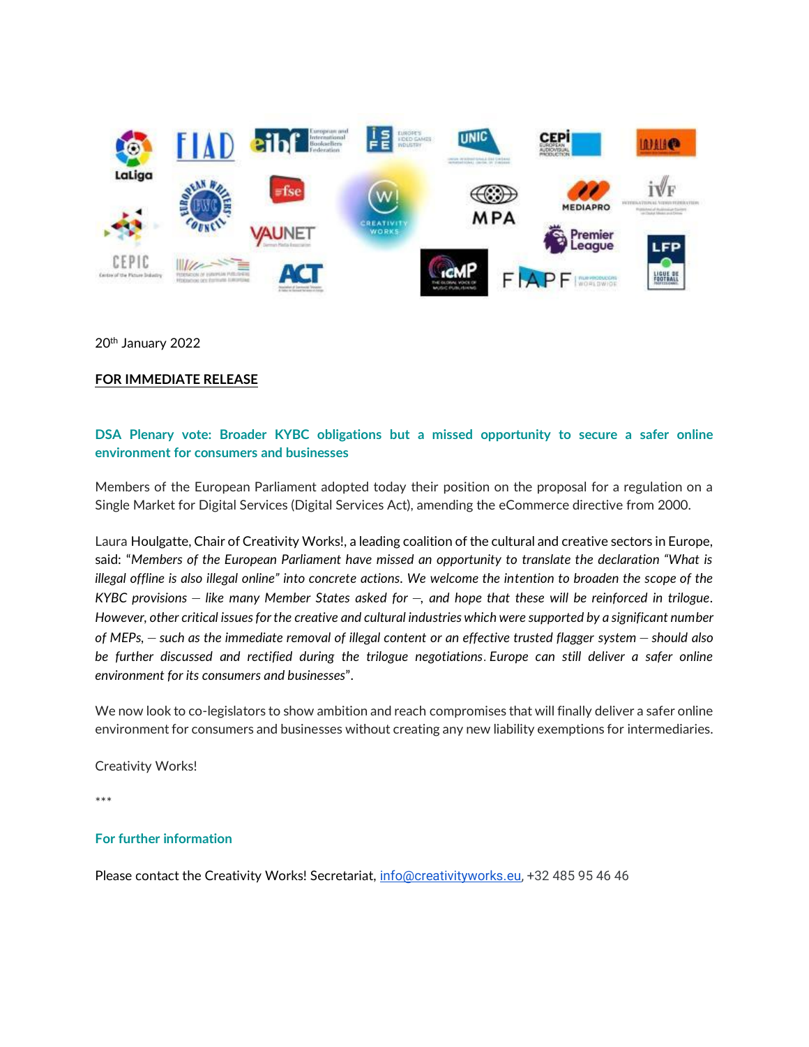

20<sup>th</sup> January 2022

## **FOR IMMEDIATE RELEASE**

## **DSA Plenary vote: Broader KYBC obligations but a missed opportunity to secure a safer online environment for consumers and businesses**

Members of the European Parliament adopted today their position on the proposal for a regulation on a Single Market for Digital Services (Digital Services Act), amending the eCommerce directive from 2000.

Laura Houlgatte, Chair of Creativity Works!, a leading coalition of the cultural and creative sectors in Europe, said: "*Members of the European Parliament have missed an opportunity to translate the declaration "What is illegal offline is also illegal online" into concrete actions. We welcome the intention to broaden the scope of the KYBC provisions* – *like many Member States asked for* –*, and hope that these will be reinforced in trilogue. However, other critical issues for the creative and cultural industries which were supported by a significant number of MEPs,* – *such as the immediate removal of illegal content or an effective trusted flagger system* – *should also be further discussed and rectified during the trilogue negotiations*. *Europe can still deliver a safer online environment for its consumers and businesses*".

We now look to co-legislators to show ambition and reach compromises that will finally deliver a safer online environment for consumers and businesses without creating any new liability exemptions for intermediaries.

Creativity Works!

\*\*\*

## **For further information**

Please contact the Creativity Works! Secretariat, [info@creativityworks.eu,](mailto:info@creativityworks.eu) +32 485 95 46 46